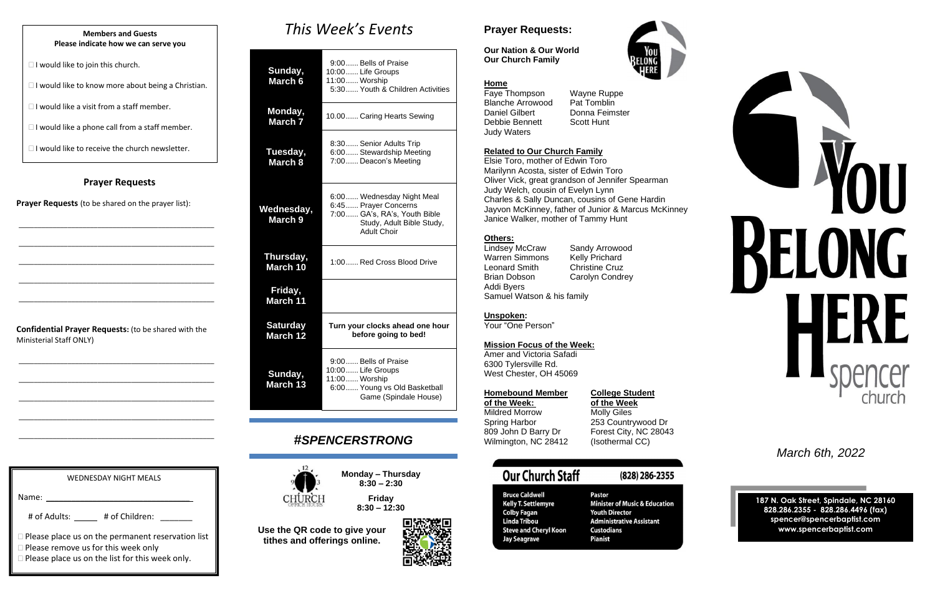## **Prayer Requests**

**Prayer Requests** (to be shared on the prayer list):

\_\_\_\_\_\_\_\_\_\_\_\_\_\_\_\_\_\_\_\_\_\_\_\_\_\_\_\_\_\_\_\_\_\_\_\_\_\_\_\_\_\_\_\_\_\_\_\_\_\_\_\_

\_\_\_\_\_\_\_\_\_\_\_\_\_\_\_\_\_\_\_\_\_\_\_\_\_\_\_\_\_\_\_\_\_\_\_\_\_\_\_\_\_\_\_\_\_\_\_\_\_\_\_\_

\_\_\_\_\_\_\_\_\_\_\_\_\_\_\_\_\_\_\_\_\_\_\_\_\_\_\_\_\_\_\_\_\_\_\_\_\_\_\_\_\_\_\_\_\_\_\_\_\_\_\_\_

\_\_\_\_\_\_\_\_\_\_\_\_\_\_\_\_\_\_\_\_\_\_\_\_\_\_\_\_\_\_\_\_\_\_\_\_\_\_\_\_\_\_\_\_\_\_\_\_\_\_\_\_

\_\_\_\_\_\_\_\_\_\_\_\_\_\_\_\_\_\_\_\_\_\_\_\_\_\_\_\_\_\_\_\_\_\_\_\_\_\_\_\_\_\_\_\_\_\_\_\_\_\_\_\_

**Confidential Prayer Requests:** (to be shared with the Ministerial Staff ONLY)

\_\_\_\_\_\_\_\_\_\_\_\_\_\_\_\_\_\_\_\_\_\_\_\_\_\_\_\_\_\_\_\_\_\_\_\_\_\_\_\_\_\_\_\_\_\_\_\_\_\_\_\_

\_\_\_\_\_\_\_\_\_\_\_\_\_\_\_\_\_\_\_\_\_\_\_\_\_\_\_\_\_\_\_\_\_\_\_\_\_\_\_\_\_\_\_\_\_\_\_\_\_\_\_\_

\_\_\_\_\_\_\_\_\_\_\_\_\_\_\_\_\_\_\_\_\_\_\_\_\_\_\_\_\_\_\_\_\_\_\_\_\_\_\_\_\_\_\_\_\_\_\_\_\_\_\_\_

\_\_\_\_\_\_\_\_\_\_\_\_\_\_\_\_\_\_\_\_\_\_\_\_\_\_\_\_\_\_\_\_\_\_\_\_\_\_\_\_\_\_\_\_\_\_\_\_\_\_\_\_

\_\_\_\_\_\_\_\_\_\_\_\_\_\_\_\_\_\_\_\_\_\_\_\_\_\_\_\_\_\_\_\_\_\_\_\_\_\_\_\_\_\_\_\_\_\_\_\_\_\_\_\_

# *This Week's Events*

| Sunday,<br>March 6          | 9:00 Bells of Praise<br>10:00  Life Groups<br>11:00 Worship<br>5:30 Youth & Children Activities                                      |  |
|-----------------------------|--------------------------------------------------------------------------------------------------------------------------------------|--|
| Monday,<br><b>March 7</b>   | 10.00 Caring Hearts Sewing                                                                                                           |  |
| Tuesday,<br>March 8         | 8:30 Senior Adults Trip<br>6:00 Stewardship Meeting<br>7:00 Deacon's Meeting                                                         |  |
| Wednesday,<br>March 9       | 6:00 Wednesday Night Meal<br>6:45 Prayer Concerns<br>7:00 GA's, RA's, Youth Bible<br>Study, Adult Bible Study,<br><b>Adult Choir</b> |  |
| Thursday,<br>March 10       | 1:00 Red Cross Blood Drive                                                                                                           |  |
| Friday,<br><b>March 11</b>  |                                                                                                                                      |  |
| <b>Saturday</b><br>March 12 | Turn your clocks ahead one hour<br>before going to bed!                                                                              |  |
| Sunday,<br><b>March 13</b>  | 9:00 Bells of Praise<br>10:00 Life Groups<br>11:00 Worship<br>6:00  Young vs Old Basketball<br>Game (Spindale House)                 |  |

**of the Week: of the Week** Mildred Morrow Molly Giles<br>
Spring Harbor 253 Country Spring Harbor 253 Countrywood Dr<br>809 John D Barry Dr Forest City, NC 2804 Wilmington, NC 28412 (Isothermal CC)

Forest City, NC 28043

# **Our Church Staff**

**Bruce Caldwell** 

**Colby Fagan<br>Linda Tribou** 

**Jay Seagrave** 

**Kelly T. Settlemyre** 

**Steve and Cheryl Koon** 

- (828) 286-2355
- Pastor **Minister of Music & Education Youth Director Administrative Assistant Custodians Pianist**



# *#SPENCERSTRONG*



**Monday – Thursday 8:30 – 2:30**

**Friday 8:30 – 12:30**

**Use the QR code to give your tithes and offerings online.**



# **Prayer Requests:**

## **Our Nation & Our World Our Church Family**



## **Home**

Faye Thompson Wayne Ruppe Blanche Arrowood Pat Tomblin Daniel Gilbert Donna Feimster Debbie Bennett Scott Hunt Judy Waters

## **Related to Our Church Family**

Elsie Toro, mother of Edwin Toro Marilynn Acosta, sister of Edwin Toro Oliver Vick, great grandson of Jennifer Spearman Judy Welch, cousin of Evelyn Lynn Charles & Sally Duncan, cousins of Gene Hardin Jayvon McKinney, father of Junior & Marcus McKinney Janice Walker, mother of Tammy Hunt

## **Others:**

Lindsey McCraw Sandy Arrowood Warren Simmons Leonard Smith Christine Cruz Brian Dobson Carolyn Condrey Addi Byers Samuel Watson & his family

## **Unspoken:**

Your "One Person"

### **Mission Focus of the Week:**

Amer and Victoria Safadi 6300 Tylersville Rd. West Chester, OH 45069

### **Homebound Member College Student**

*March 6th, 2022*

**187 N. Oak Street, Spindale, NC 28160 828.286.2355 - 828.286.4496 (fax) spencer@spencerbaptist.com www.spencerbaptist.com**

#### **Members and Guests Please indicate how we can serve you**

 $\Box$  I would like to join this church.

 $\Box$  I would like to know more about being a Christian.

 $\Box$  I would like a visit from a staff member.

 $\Box$  I would like a phone call from a staff member.

 $\Box$  I would like to receive the church newsletter.

WEDNESDAY NIGHT MEALS

# of Adults: \_\_\_\_\_\_\_\_ # of Children:

**Please place us on the list for this week only.** 

□ Please remove us for this week only

**Please place us on the permanent reservation list** 

Name: